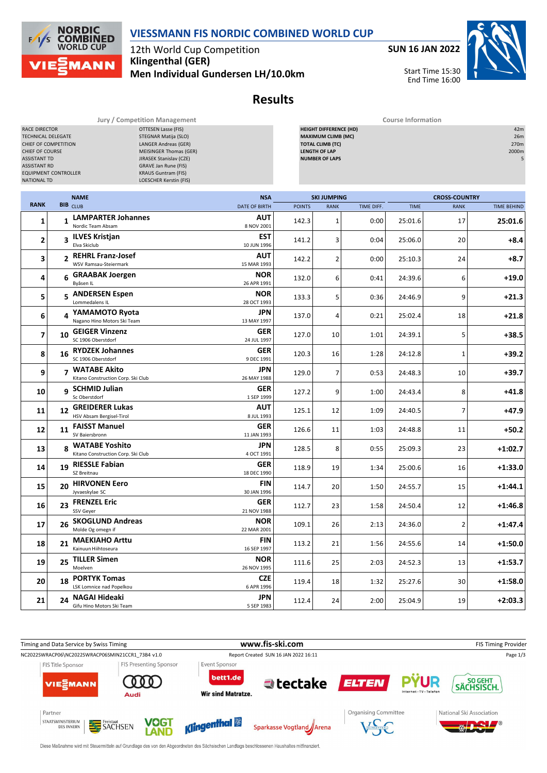

**Results**

**Jury / Competition Management Course Information**<br> **COURSE COURSE COURSE COURSE CONTINUES** 

12th World Cup Competition **Klingenthal (GER) Men Individual Gundersen LH/10.0km**

**NORDIC<br>COMBINED** 

**IANN** 

**WORLD CUP** 

 $F/1/s$ 

**SUN 16 JAN 2022**



| <b>OTTESEN Lasse (FIS)</b><br><b>RACE DIRECTOR</b><br>STEGNAR Matija (SLO)<br><b>TECHNICAL DELEGATE</b><br>CHIEF OF COMPETITION<br>LANGER Andreas (GER)<br>CHIEF OF COURSE<br><b>MEISINGER Thomas (GER)</b><br><b>ASSISTANT TD</b><br>JIRASEK Stanislav (CZE)<br><b>ASSISTANT RD</b><br><b>GRAVE Jan Rune (FIS)</b><br><b>EQUIPMENT CONTROLLER</b><br><b>KRAUS Guntram (FIS)</b><br><b>NATIONAL TD</b><br>LOESCHER Kerstin (FIS) |                |                                                        |  |                                    | 42m<br><b>HEIGHT DIFFERENCE (HD)</b><br><b>MAXIMUM CLIMB (MC)</b><br>26m<br><b>TOTAL CLIMB (TC)</b><br>270m<br><b>LENGTH OF LAP</b><br>2000m<br><b>NUMBER OF LAPS</b><br>5 |                                   |            |             |                                     |                    |
|----------------------------------------------------------------------------------------------------------------------------------------------------------------------------------------------------------------------------------------------------------------------------------------------------------------------------------------------------------------------------------------------------------------------------------|----------------|--------------------------------------------------------|--|------------------------------------|----------------------------------------------------------------------------------------------------------------------------------------------------------------------------|-----------------------------------|------------|-------------|-------------------------------------|--------------------|
| <b>RANK</b>                                                                                                                                                                                                                                                                                                                                                                                                                      |                | <b>NAME</b><br><b>BIB</b> CLUB                         |  | <b>NSA</b><br><b>DATE OF BIRTH</b> | <b>POINTS</b>                                                                                                                                                              | <b>SKI JUMPING</b><br><b>RANK</b> | TIME DIFF. | <b>TIME</b> | <b>CROSS-COUNTRY</b><br><b>RANK</b> | <b>TIME BEHIND</b> |
| 1                                                                                                                                                                                                                                                                                                                                                                                                                                |                | 1 LAMPARTER Johannes                                   |  | AUT<br>8 NOV 2001                  | 142.3                                                                                                                                                                      | $\mathbf{1}$                      | 0:00       | 25:01.6     | 17                                  | 25:01.6            |
| 2                                                                                                                                                                                                                                                                                                                                                                                                                                |                | 3 ILVES Kristjan<br>Elva Skiclub                       |  | EST<br>10 JUN 1996                 | 141.2                                                                                                                                                                      | 3                                 | 0:04       | 25:06.0     | 20                                  | +8.4               |
| 3                                                                                                                                                                                                                                                                                                                                                                                                                                | $\overline{2}$ | REHRL Franz-Josef<br>WSV Ramsau-Steiermark             |  | AUT<br>15 MAR 1993                 | 142.2                                                                                                                                                                      | $\overline{2}$                    | 0:00       | 25:10.3     | 24                                  | +8.7               |
| 4                                                                                                                                                                                                                                                                                                                                                                                                                                |                | 6 GRAABAK Joergen<br>Byåsen IL                         |  | <b>NOR</b><br>26 APR 1991          | 132.0                                                                                                                                                                      | 6                                 | 0:41       | 24:39.6     | 6                                   | $+19.0$            |
| 5                                                                                                                                                                                                                                                                                                                                                                                                                                |                | 5 ANDERSEN Espen<br>Lommedalens IL                     |  | <b>NOR</b><br>28 OCT 1993          | 133.3                                                                                                                                                                      | 5                                 | 0:36       | 24:46.9     | 9                                   | $+21.3$            |
| 6                                                                                                                                                                                                                                                                                                                                                                                                                                |                | 4 YAMAMOTO Ryota<br>Nagano Hino Motors Ski Team        |  | <b>JPN</b><br>13 MAY 1997          | 137.0                                                                                                                                                                      | 4                                 | 0:21       | 25:02.4     | 18                                  | $+21.8$            |
| 7                                                                                                                                                                                                                                                                                                                                                                                                                                | 10             | <b>GEIGER Vinzenz</b><br>SC 1906 Oberstdorf            |  | GER<br>24 JUL 1997                 | 127.0                                                                                                                                                                      | 10                                | 1:01       | 24:39.1     | 5                                   | $+38.5$            |
| 8                                                                                                                                                                                                                                                                                                                                                                                                                                |                | 16 RYDZEK Johannes<br>SC 1906 Oberstdorf               |  | GER<br>9 DEC 1991                  | 120.3                                                                                                                                                                      | 16                                | 1:28       | 24:12.8     | 1                                   | $+39.2$            |
| 9                                                                                                                                                                                                                                                                                                                                                                                                                                |                | 7 WATABE Akito<br>Kitano Construction Corp. Ski Club   |  | <b>JPN</b><br>26 MAY 1988          | 129.0                                                                                                                                                                      | 7                                 | 0:53       | 24:48.3     | 10                                  | $+39.7$            |
| 10                                                                                                                                                                                                                                                                                                                                                                                                                               |                | q SCHMID Julian<br>Sc Oberstdorf                       |  | <b>GER</b><br>1 SEP 1999           | 127.2                                                                                                                                                                      | 9                                 | 1:00       | 24:43.4     | 8                                   | $+41.8$            |
| 11                                                                                                                                                                                                                                                                                                                                                                                                                               | 12             | <b>GREIDERER Lukas</b><br>HSV Absam Bergisel-Tirol     |  | AUT<br>8 JUL 1993                  | 125.1                                                                                                                                                                      | 12                                | 1:09       | 24:40.5     | 7                                   | $+47.9$            |
| 12                                                                                                                                                                                                                                                                                                                                                                                                                               | 11             | <b>FAISST Manuel</b><br>SV Baiersbronn                 |  | GER<br>11 JAN 1993                 | 126.6                                                                                                                                                                      | 11                                | 1:03       | 24:48.8     | 11                                  | $+50.2$            |
| 13                                                                                                                                                                                                                                                                                                                                                                                                                               |                | 8 WATABE Yoshito<br>Kitano Construction Corp. Ski Club |  | JPN<br>4 OCT 1991                  | 128.5                                                                                                                                                                      | 8                                 | 0:55       | 25:09.3     | 23                                  | $+1:02.7$          |
| 14                                                                                                                                                                                                                                                                                                                                                                                                                               | 19             | <b>RIESSLE Fabian</b><br>SZ Breitnau                   |  | <b>GER</b><br>18 DEC 1990          | 118.9                                                                                                                                                                      | 19                                | 1:34       | 25:00.6     | 16                                  | $+1:33.0$          |
| 15                                                                                                                                                                                                                                                                                                                                                                                                                               | 20             | <b>HIRVONEN Eero</b><br>Jyvaeskylae SC                 |  | FIN<br>30 JAN 1996                 | 114.7                                                                                                                                                                      | 20                                | 1:50       | 24:55.7     | 15                                  | $+1:44.1$          |
| 16                                                                                                                                                                                                                                                                                                                                                                                                                               | 23             | <b>FRENZEL Eric</b><br>SSV Geyer                       |  | GER<br>21 NOV 1988                 | 112.7                                                                                                                                                                      | 23                                | 1:58       | 24:50.4     | 12                                  | $+1:46.8$          |
| 17                                                                                                                                                                                                                                                                                                                                                                                                                               |                | 26 SKOGLUND Andreas<br>Molde Og omegn if               |  | <b>NOR</b><br>22 MAR 2001          | 109.1                                                                                                                                                                      | 26                                | 2:13       | 24:36.0     | 2                                   | $+1:47.4$          |
| 18                                                                                                                                                                                                                                                                                                                                                                                                                               |                | 21 MAEKIAHO Arttu<br>Kainuun Hiihtoseura               |  | FIN<br>16 SEP 1997                 | 113.2                                                                                                                                                                      | 21                                | 1:56       | 24:55.6     | 14                                  | $+1:50.0$          |
| 19                                                                                                                                                                                                                                                                                                                                                                                                                               | 25             | <b>TILLER Simen</b><br>Moelven                         |  | <b>NOR</b><br>26 NOV 1995          | 111.6                                                                                                                                                                      | 25                                | 2:03       | 24:52.3     | 13                                  | $+1:53.7$          |
| 20                                                                                                                                                                                                                                                                                                                                                                                                                               | 18             | <b>PORTYK Tomas</b><br>LSK Lomnice nad Popelkou        |  | <b>CZE</b><br>6 APR 1996           | 119.4                                                                                                                                                                      | 18                                | 1:32       | 25:27.6     | 30                                  | $+1:58.0$          |
| 21                                                                                                                                                                                                                                                                                                                                                                                                                               | 24             | NAGAI Hideaki<br>Gifu Hino Motors Ski Team             |  | JPN<br>5 SEP 1983                  | 112.4                                                                                                                                                                      | 24                                | 2:00       | 25:04.9     | 19                                  | $+2:03.3$          |



Diese Maßnahme wird mit Steuermitteln auf Grundlage des von den Abgeordneten des Sächsischen Landtags beschlossenen Haushaltes mitfinanziert.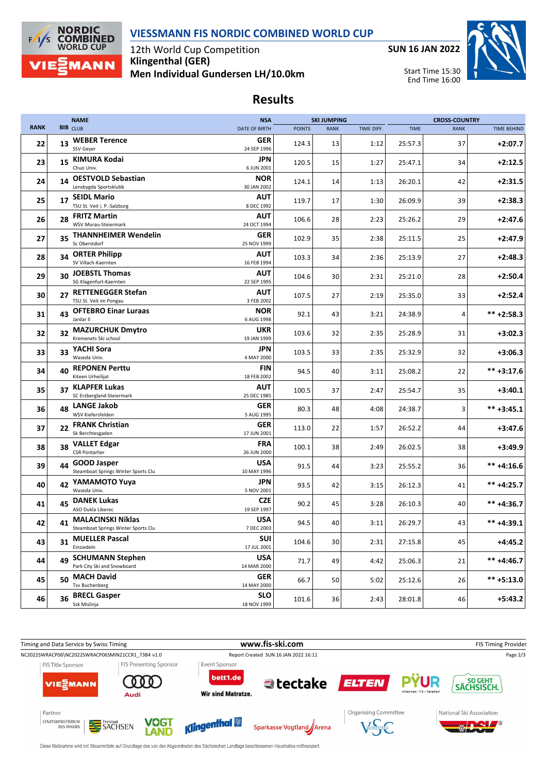



12th World Cup Competition **Klingenthal (GER) Men Individual Gundersen LH/10.0km**



Start Time 15:30 End Time 16:00



**Results**

|             |    | <b>NAME</b>                                                 | <b>NSA</b>                |               | <b>SKI JUMPING</b> |            |             | <b>CROSS-COUNTRY</b> |                    |
|-------------|----|-------------------------------------------------------------|---------------------------|---------------|--------------------|------------|-------------|----------------------|--------------------|
| <b>RANK</b> |    | <b>BIB</b> CLUB                                             | <b>DATE OF BIRTH</b>      | <b>POINTS</b> | <b>RANK</b>        | TIME DIFF. | <b>TIME</b> | <b>RANK</b>          | <b>TIME BEHIND</b> |
| 22          | 13 | <b>WEBER Terence</b><br>SSV Gever                           | <b>GER</b><br>24 SEP 1996 | 124.3         | 13                 | 1:12       | 25:57.3     | 37                   | $+2:07.7$          |
| 23          | 15 | <b>KIMURA Kodai</b><br>Chuo Univ.                           | JPN<br>6 JUN 2001         | 120.5         | 15                 | 1:27       | 25:47.1     | 34                   | $+2:12.5$          |
| 24          | 14 | <b>OESTVOLD Sebastian</b><br>Lensbygda Sportsklubb          | <b>NOR</b><br>30 JAN 2002 | 124.1         | 14                 | 1:13       | 26:20.1     | 42                   | $+2:31.5$          |
| 25          |    | 17 SEIDL Mario<br>TSU St. Veit i. P.-Salzburg               | AUT<br>8 DEC 1992         | 119.7         | 17                 | 1:30       | 26:09.9     | 39                   | $+2:38.3$          |
| 26          | 28 | <b>FRITZ Martin</b><br>WSV Murau-Steiermark                 | AUT<br>24 OCT 1994        | 106.6         | 28                 | 2:23       | 25:26.2     | 29                   | $+2:47.6$          |
| 27          | 35 | <b>THANNHEIMER Wendelin</b><br>Sc Oberstdorf                | GER<br>25 NOV 1999        | 102.9         | 35                 | 2:38       | 25:11.5     | 25                   | $+2:47.9$          |
| 28          | 34 | <b>ORTER Philipp</b><br>SV Villach-Kaernten                 | AUT<br>16 FEB 1994        | 103.3         | 34                 | 2:36       | 25:13.9     | 27                   | $+2:48.3$          |
| 29          | 30 | <b>JOEBSTL Thomas</b><br>SG Klagenfurt-Kaernten             | AUT<br>22 SEP 1995        | 104.6         | 30                 | 2:31       | 25:21.0     | 28                   | $+2:50.4$          |
| 30          | 27 | <b>RETTENEGGER Stefan</b><br>TSU St. Veit im Pongau         | AUT<br>3 FEB 2002         | 107.5         | 27                 | 2:19       | 25:35.0     | 33                   | $+2:52.4$          |
| 31          | 43 | <b>OFTEBRO Einar Luraas</b><br>Jardar II                    | <b>NOR</b><br>6 AUG 1998  | 92.1          | 43                 | 3:21       | 24:38.9     | 4                    | $*** + 2:58.3$     |
| 32          | 32 | <b>MAZURCHUK Dmytro</b><br>Kremenets Ski school             | UKR<br>19 JAN 1999        | 103.6         | 32                 | 2:35       | 25:28.9     | 31                   | $+3:02.3$          |
| 33          | 33 | YACHI Sora<br>Waseda Univ.                                  | JPN<br>4 MAY 2000         | 103.5         | 33                 | 2:35       | 25:32.9     | 32                   | $+3:06.3$          |
| 34          | 40 | <b>REPONEN Perttu</b><br>Kiteen Urheilijat                  | FIN<br>18 FEB 2002        | 94.5          | 40                 | 3:11       | 25:08.2     | 22                   | $*** +3:17.6$      |
| 35          |    | 37 KLAPFER Lukas<br>SC Erzbergland-Steiermark               | AUT<br>25 DEC 1985        | 100.5         | 37                 | 2:47       | 25:54.7     | 35                   | $+3:40.1$          |
| 36          |    | 48 LANGE Jakob<br>WSV Kiefersfelden                         | GER<br>5 AUG 1995         | 80.3          | 48                 | 4:08       | 24:38.7     | 3                    | $*** +3:45.1$      |
| 37          | 22 | <b>FRANK Christian</b><br>Sk Berchtesgaden                  | <b>GER</b><br>17 JUN 2001 | 113.0         | 22                 | 1:57       | 26:52.2     | 44                   | $+3:47.6$          |
| 38          | 38 | <b>VALLET Edgar</b><br><b>CSR Pontarlier</b>                | FRA<br>26 JUN 2000        | 100.1         | 38                 | 2:49       | 26:02.5     | 38                   | $+3:49.9$          |
| 39          | 44 | <b>GOOD Jasper</b><br>Steamboat Springs Winter Sports Clu   | <b>USA</b><br>10 MAY 1996 | 91.5          | 44                 | 3:23       | 25:55.2     | 36                   | $*** +4:16.6$      |
| 40          | 42 | YAMAMOTO Yuya<br>Waseda Univ.                               | JPN<br>5 NOV 2001         | 93.5          | 42                 | 3:15       | 26:12.3     | 41                   | $*** +4:25.7$      |
| 41          | 45 | <b>DANEK Lukas</b><br>ASO Dukla Liberec                     | <b>CZE</b><br>19 SEP 1997 | 90.2          | 45                 | 3:28       | 26:10.3     | 40                   | $*** +4:36.7$      |
| 42          |    | 41 MALACINSKI Niklas<br>Steamboat Springs Winter Sports Clu | <b>USA</b><br>7 DEC 2003  | 94.5          | 40                 | 3:11       | 26:29.7     | 43                   | $*** +4:39.1$      |
| 43          | 31 | <b>MUELLER Pascal</b><br>Einsiedeln                         | SUI<br>17 JUL 2001        | 104.6         | 30                 | 2:31       | 27:15.8     | 45                   | $+4:45.2$          |
| 44          | 49 | <b>SCHUMANN Stephen</b><br>Park City Ski and Snowboard      | <b>USA</b><br>14 MAR 2000 | 71.7          | 49                 | 4:42       | 25:06.3     | 21                   | $*** +4:46.7$      |
| 45          |    | 50 MACH David<br><b>Tsv Buchenberg</b>                      | <b>GER</b><br>14 MAY 2000 | 66.7          | 50                 | 5:02       | 25:12.6     | 26                   | $*** + 5:13.0$     |
| 46          | 36 | <b>BRECL Gasper</b><br>Ssk Mislinja                         | <b>SLO</b><br>18 NOV 1999 | 101.6         | 36                 | 2:43       | 28:01.8     | 46                   | $+5:43.2$          |



Diese Maßnahme wird mit Steuermitteln auf Grundlage des von den Abgeordneten des Sächsischen Landtags beschlossenen Haushaltes mitfinanziert.